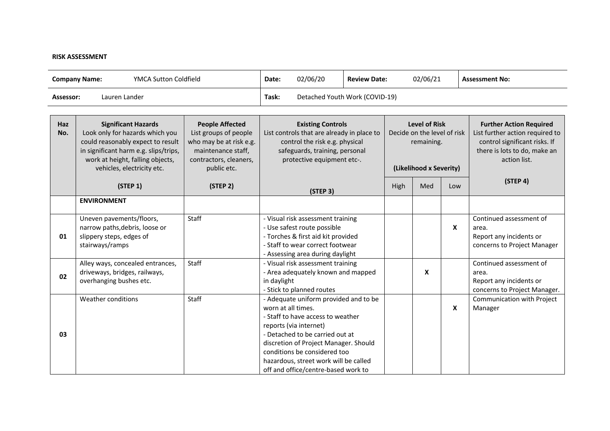## **RISK ASSESSMENT**

| <b>YMCA Sutton Coldfield</b><br><b>Company Name:</b> |                                                                                                                                                                                                               | Date:                                                                                                                                     | 02/06/20                       | <b>Review Date:</b>                                                                                                                                                                                                                                                                              |  | 02/06/21                                                                                     |     | <b>Assessment No:</b>     |                                                                                                                                                    |
|------------------------------------------------------|---------------------------------------------------------------------------------------------------------------------------------------------------------------------------------------------------------------|-------------------------------------------------------------------------------------------------------------------------------------------|--------------------------------|--------------------------------------------------------------------------------------------------------------------------------------------------------------------------------------------------------------------------------------------------------------------------------------------------|--|----------------------------------------------------------------------------------------------|-----|---------------------------|----------------------------------------------------------------------------------------------------------------------------------------------------|
| Lauren Lander<br>Assessor:                           |                                                                                                                                                                                                               | Task:                                                                                                                                     | Detached Youth Work (COVID-19) |                                                                                                                                                                                                                                                                                                  |  |                                                                                              |     |                           |                                                                                                                                                    |
|                                                      |                                                                                                                                                                                                               |                                                                                                                                           |                                |                                                                                                                                                                                                                                                                                                  |  |                                                                                              |     |                           |                                                                                                                                                    |
| Haz<br>No.                                           | <b>Significant Hazards</b><br>Look only for hazards which you<br>could reasonably expect to result<br>in significant harm e.g. slips/trips,<br>work at height, falling objects,<br>vehicles, electricity etc. | <b>People Affected</b><br>List groups of people<br>who may be at risk e.g.<br>maintenance staff,<br>contractors, cleaners,<br>public etc. |                                | <b>Existing Controls</b><br>List controls that are already in place to<br>control the risk e.g. physical<br>safeguards, training, personal<br>protective equipment etc-.                                                                                                                         |  | <b>Level of Risk</b><br>Decide on the level of risk<br>remaining.<br>(Likelihood x Severity) |     |                           | <b>Further Action Required</b><br>List further action required to<br>control significant risks. If<br>there is lots to do, make an<br>action list. |
|                                                      | (STEP 1)                                                                                                                                                                                                      | (STEP 2)                                                                                                                                  |                                | (STEP 3)                                                                                                                                                                                                                                                                                         |  | High                                                                                         | Med | Low                       | (STEP 4)                                                                                                                                           |
|                                                      | <b>ENVIRONMENT</b>                                                                                                                                                                                            |                                                                                                                                           |                                |                                                                                                                                                                                                                                                                                                  |  |                                                                                              |     |                           |                                                                                                                                                    |
| 01                                                   | Uneven pavements/floors,<br>narrow paths, debris, loose or<br>slippery steps, edges of<br>stairways/ramps                                                                                                     | Staff                                                                                                                                     |                                | - Visual risk assessment training<br>- Use safest route possible<br>- Torches & first aid kit provided<br>- Staff to wear correct footwear<br>- Assessing area during daylight                                                                                                                   |  |                                                                                              |     | $\boldsymbol{\mathsf{x}}$ | Continued assessment of<br>area.<br>Report any incidents or<br>concerns to Project Manager                                                         |
| 02                                                   | Alley ways, concealed entrances,<br>driveways, bridges, railways,<br>overhanging bushes etc.                                                                                                                  | Staff                                                                                                                                     | in daylight                    | - Visual risk assessment training<br>- Area adequately known and mapped<br>- Stick to planned routes                                                                                                                                                                                             |  |                                                                                              | X   |                           | Continued assessment of<br>area.<br>Report any incidents or<br>concerns to Project Manager.                                                        |
| 03                                                   | Weather conditions                                                                                                                                                                                            | Staff                                                                                                                                     | worn at all times.             | - Adequate uniform provided and to be<br>- Staff to have access to weather<br>reports (via internet)<br>- Detached to be carried out at<br>discretion of Project Manager. Should<br>conditions be considered too<br>hazardous, street work will be called<br>off and office/centre-based work to |  |                                                                                              |     | $\boldsymbol{\mathsf{X}}$ | Communication with Project<br>Manager                                                                                                              |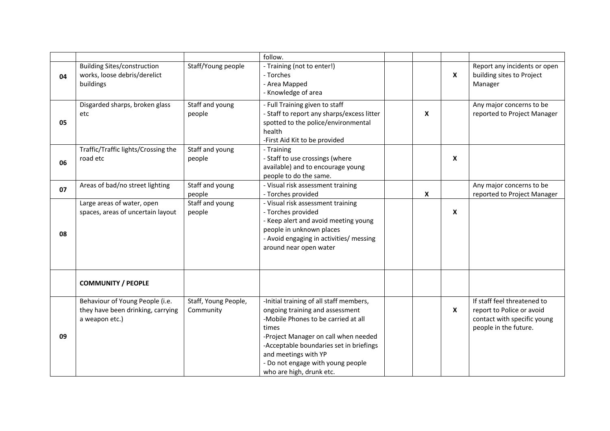|    |                                                                                        |                                   | follow.                                                                                                                                                                                                                                                                                                |   |                           |                                                                                                                  |
|----|----------------------------------------------------------------------------------------|-----------------------------------|--------------------------------------------------------------------------------------------------------------------------------------------------------------------------------------------------------------------------------------------------------------------------------------------------------|---|---------------------------|------------------------------------------------------------------------------------------------------------------|
| 04 | <b>Building Sites/construction</b><br>works, loose debris/derelict<br>buildings        | Staff/Young people                | - Training (not to enter!)<br>- Torches<br>- Area Mapped<br>- Knowledge of area                                                                                                                                                                                                                        |   | $\boldsymbol{\mathsf{x}}$ | Report any incidents or open<br>building sites to Project<br>Manager                                             |
| 05 | Disgarded sharps, broken glass<br>etc                                                  | Staff and young<br>people         | - Full Training given to staff<br>- Staff to report any sharps/excess litter<br>spotted to the police/environmental<br>health<br>-First Aid Kit to be provided                                                                                                                                         | X |                           | Any major concerns to be<br>reported to Project Manager                                                          |
| 06 | Traffic/Traffic lights/Crossing the<br>road etc                                        | Staff and young<br>people         | - Training<br>- Staff to use crossings (where<br>available) and to encourage young<br>people to do the same.                                                                                                                                                                                           |   | X                         |                                                                                                                  |
| 07 | Areas of bad/no street lighting                                                        | Staff and young<br>people         | - Visual risk assessment training<br>- Torches provided                                                                                                                                                                                                                                                | X |                           | Any major concerns to be<br>reported to Project Manager                                                          |
| 08 | Large areas of water, open<br>spaces, areas of uncertain layout                        | Staff and young<br>people         | - Visual risk assessment training<br>- Torches provided<br>- Keep alert and avoid meeting young<br>people in unknown places<br>- Avoid engaging in activities/ messing<br>around near open water                                                                                                       |   | X                         |                                                                                                                  |
|    | <b>COMMUNITY / PEOPLE</b>                                                              |                                   |                                                                                                                                                                                                                                                                                                        |   |                           |                                                                                                                  |
| 09 | Behaviour of Young People (i.e.<br>they have been drinking, carrying<br>a weapon etc.) | Staff, Young People,<br>Community | -Initial training of all staff members,<br>ongoing training and assessment<br>-Mobile Phones to be carried at all<br>times<br>-Project Manager on call when needed<br>-Acceptable boundaries set in briefings<br>and meetings with YP<br>- Do not engage with young people<br>who are high, drunk etc. |   | $\boldsymbol{\mathsf{x}}$ | If staff feel threatened to<br>report to Police or avoid<br>contact with specific young<br>people in the future. |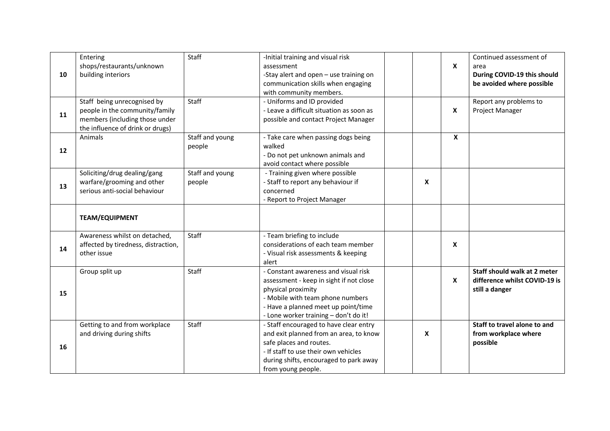|    | Entering                            | Staff           | -Initial training and visual risk        |   |             | Continued assessment of       |
|----|-------------------------------------|-----------------|------------------------------------------|---|-------------|-------------------------------|
|    | shops/restaurants/unknown           |                 | assessment                               |   | $\mathbf x$ | area                          |
| 10 | building interiors                  |                 | -Stay alert and open - use training on   |   |             | During COVID-19 this should   |
|    |                                     |                 | communication skills when engaging       |   |             | be avoided where possible     |
|    |                                     |                 | with community members.                  |   |             |                               |
|    | Staff being unrecognised by         | Staff           | - Uniforms and ID provided               |   |             | Report any problems to        |
| 11 | people in the community/family      |                 | - Leave a difficult situation as soon as |   | X           | Project Manager               |
|    | members (including those under      |                 | possible and contact Project Manager     |   |             |                               |
|    | the influence of drink or drugs)    |                 |                                          |   |             |                               |
|    | Animals                             | Staff and young | - Take care when passing dogs being      |   | $\mathbf x$ |                               |
| 12 |                                     | people          | walked                                   |   |             |                               |
|    |                                     |                 | - Do not pet unknown animals and         |   |             |                               |
|    |                                     |                 | avoid contact where possible             |   |             |                               |
|    | Soliciting/drug dealing/gang        | Staff and young | - Training given where possible          |   |             |                               |
| 13 | warfare/grooming and other          | people          | - Staff to report any behaviour if       | X |             |                               |
|    | serious anti-social behaviour       |                 | concerned                                |   |             |                               |
|    |                                     |                 | - Report to Project Manager              |   |             |                               |
|    |                                     |                 |                                          |   |             |                               |
|    | <b>TEAM/EQUIPMENT</b>               |                 |                                          |   |             |                               |
|    | Awareness whilst on detached,       | Staff           | - Team briefing to include               |   |             |                               |
| 14 | affected by tiredness, distraction, |                 | considerations of each team member       |   | X           |                               |
|    | other issue                         |                 | - Visual risk assessments & keeping      |   |             |                               |
|    |                                     |                 | alert                                    |   |             |                               |
|    | Group split up                      | Staff           | - Constant awareness and visual risk     |   |             | Staff should walk at 2 meter  |
|    |                                     |                 | assessment - keep in sight if not close  |   | X           | difference whilst COVID-19 is |
| 15 |                                     |                 | physical proximity                       |   |             | still a danger                |
|    |                                     |                 | - Mobile with team phone numbers         |   |             |                               |
|    |                                     |                 | - Have a planned meet up point/time      |   |             |                               |
|    |                                     |                 | - Lone worker training - don't do it!    |   |             |                               |
|    | Getting to and from workplace       | Staff           | - Staff encouraged to have clear entry   |   |             | Staff to travel alone to and  |
|    | and driving during shifts           |                 | and exit planned from an area, to know   | X |             | from workplace where          |
| 16 |                                     |                 | safe places and routes.                  |   |             | possible                      |
|    |                                     |                 | - If staff to use their own vehicles     |   |             |                               |
|    |                                     |                 | during shifts, encouraged to park away   |   |             |                               |
|    |                                     |                 | from young people.                       |   |             |                               |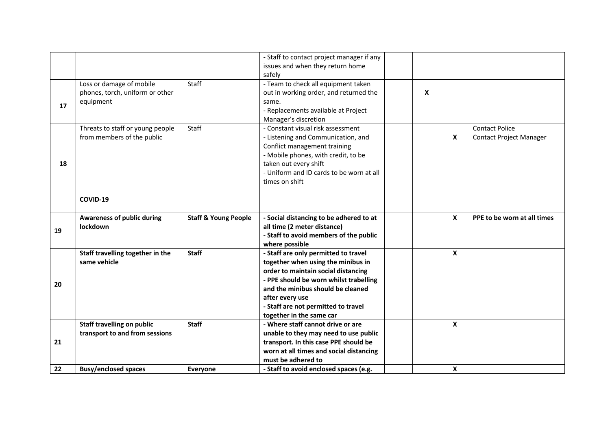|    |                                   |                                 | - Staff to contact project manager if any                    |   |                           |                                |
|----|-----------------------------------|---------------------------------|--------------------------------------------------------------|---|---------------------------|--------------------------------|
|    |                                   |                                 | issues and when they return home                             |   |                           |                                |
|    |                                   |                                 | safely                                                       |   |                           |                                |
|    | Loss or damage of mobile          | Staff                           | - Team to check all equipment taken                          |   |                           |                                |
|    | phones, torch, uniform or other   |                                 | out in working order, and returned the                       | X |                           |                                |
|    | equipment                         |                                 | same.                                                        |   |                           |                                |
| 17 |                                   |                                 | - Replacements available at Project                          |   |                           |                                |
|    |                                   |                                 | Manager's discretion                                         |   |                           |                                |
|    | Threats to staff or young people  | Staff                           | - Constant visual risk assessment                            |   |                           | <b>Contact Police</b>          |
|    | from members of the public        |                                 | - Listening and Communication, and                           |   | $\boldsymbol{\mathsf{x}}$ | <b>Contact Project Manager</b> |
|    |                                   |                                 | Conflict management training                                 |   |                           |                                |
|    |                                   |                                 | - Mobile phones, with credit, to be                          |   |                           |                                |
| 18 |                                   |                                 | taken out every shift                                        |   |                           |                                |
|    |                                   |                                 | - Uniform and ID cards to be worn at all                     |   |                           |                                |
|    |                                   |                                 | times on shift                                               |   |                           |                                |
|    |                                   |                                 |                                                              |   |                           |                                |
|    |                                   |                                 |                                                              |   |                           |                                |
|    | COVID-19                          |                                 |                                                              |   |                           |                                |
|    | <b>Awareness of public during</b> | <b>Staff &amp; Young People</b> | - Social distancing to be adhered to at                      |   | $\mathbf{x}$              | PPE to be worn at all times    |
|    | lockdown                          |                                 | all time (2 meter distance)                                  |   |                           |                                |
| 19 |                                   |                                 | - Staff to avoid members of the public                       |   |                           |                                |
|    |                                   |                                 | where possible                                               |   |                           |                                |
|    | Staff travelling together in the  | <b>Staff</b>                    | - Staff are only permitted to travel                         |   | $\boldsymbol{x}$          |                                |
|    | same vehicle                      |                                 | together when using the minibus in                           |   |                           |                                |
|    |                                   |                                 | order to maintain social distancing                          |   |                           |                                |
|    |                                   |                                 | - PPE should be worn whilst trabelling                       |   |                           |                                |
| 20 |                                   |                                 | and the minibus should be cleaned                            |   |                           |                                |
|    |                                   |                                 |                                                              |   |                           |                                |
|    |                                   |                                 | after every use                                              |   |                           |                                |
|    |                                   |                                 | - Staff are not permitted to travel                          |   |                           |                                |
|    |                                   |                                 | together in the same car                                     |   |                           |                                |
|    | <b>Staff travelling on public</b> | <b>Staff</b>                    | - Where staff cannot drive or are                            |   | $\boldsymbol{\mathsf{x}}$ |                                |
|    | transport to and from sessions    |                                 | unable to they may need to use public                        |   |                           |                                |
| 21 |                                   |                                 | transport. In this case PPE should be                        |   |                           |                                |
|    |                                   |                                 | worn at all times and social distancing                      |   |                           |                                |
|    |                                   |                                 |                                                              |   |                           |                                |
| 22 |                                   | Everyone                        | must be adhered to<br>- Staff to avoid enclosed spaces (e.g. |   | $\boldsymbol{x}$          |                                |